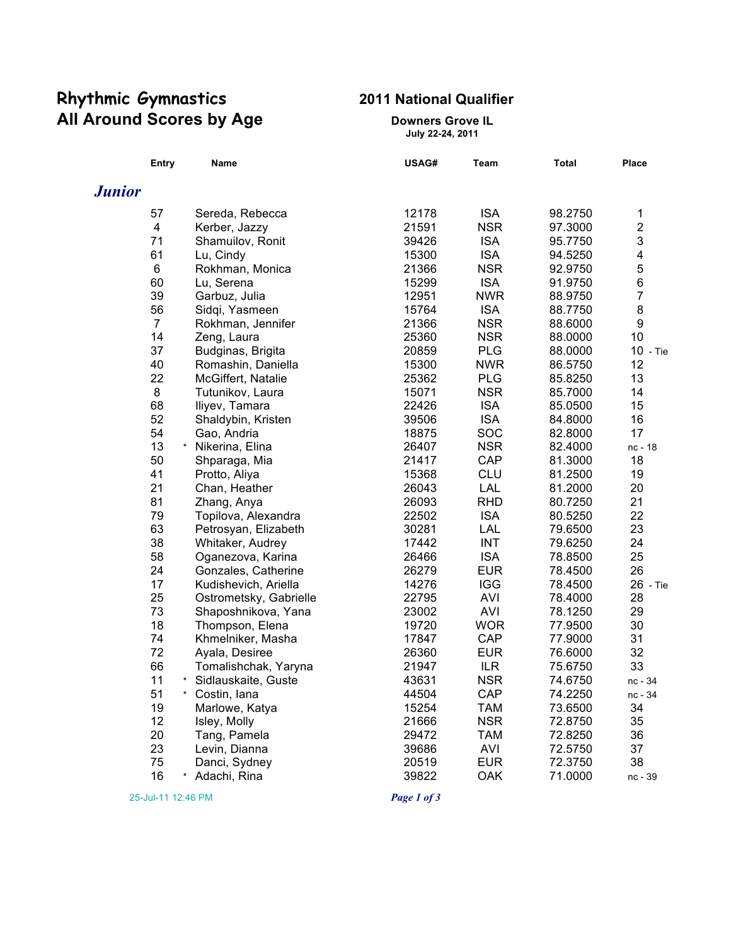# **Rhythmic Gymnastics 2011 National Qualifier All Around Scores by Age <b>Downers** Grove IL

**July 22-24, 2011**

|               | <b>Entry</b>            | Name                           | USAG# | Team       | <b>Total</b> | <b>Place</b>            |
|---------------|-------------------------|--------------------------------|-------|------------|--------------|-------------------------|
| <b>Junior</b> |                         |                                |       |            |              |                         |
|               | 57                      | Sereda, Rebecca                | 12178 | <b>ISA</b> | 98.2750      | 1                       |
|               | $\overline{\mathbf{4}}$ | Kerber, Jazzy                  | 21591 | <b>NSR</b> | 97.3000      | $\overline{c}$          |
|               | 71                      | Shamuilov, Ronit               | 39426 | <b>ISA</b> | 95.7750      | 3                       |
|               | 61                      | Lu, Cindy                      | 15300 | <b>ISA</b> | 94.5250      | $\overline{\mathbf{4}}$ |
|               | 6                       | Rokhman, Monica                | 21366 | <b>NSR</b> | 92.9750      | 5                       |
|               | 60                      | Lu, Serena                     | 15299 | <b>ISA</b> | 91.9750      | 6                       |
|               | 39                      | Garbuz, Julia                  | 12951 | <b>NWR</b> | 88.9750      | $\overline{7}$          |
|               | 56                      | Sidqi, Yasmeen                 | 15764 | <b>ISA</b> | 88.7750      | $\bf 8$                 |
|               | $\overline{7}$          | Rokhman, Jennifer              | 21366 | <b>NSR</b> | 88.6000      | 9                       |
|               | 14                      | Zeng, Laura                    | 25360 | <b>NSR</b> | 88.0000      | 10                      |
|               | 37                      | Budginas, Brigita              | 20859 | <b>PLG</b> | 88.0000      | 10 - Tie                |
|               | 40                      | Romashin, Daniella             | 15300 | <b>NWR</b> | 86.5750      | 12                      |
|               | 22                      | McGiffert, Natalie             | 25362 | <b>PLG</b> | 85.8250      | 13                      |
|               | 8                       | Tutunikov, Laura               | 15071 | <b>NSR</b> | 85.7000      | 14                      |
|               | 68                      | Iliyev, Tamara                 | 22426 | <b>ISA</b> | 85.0500      | 15                      |
|               | 52                      | Shaldybin, Kristen             | 39506 | <b>ISA</b> | 84.8000      | 16                      |
|               | 54                      | Gao, Andria                    | 18875 | <b>SOC</b> | 82.8000      | 17                      |
|               | 13                      | * Nikerina, Elina              | 26407 | <b>NSR</b> | 82.4000      | nc - 18                 |
|               | 50                      | Shparaga, Mia                  | 21417 | CAP        | 81.3000      | 18                      |
|               | 41                      | Protto, Aliya                  | 15368 | CLU        | 81.2500      | 19                      |
|               | 21                      | Chan, Heather                  | 26043 | LAL        | 81.2000      | 20                      |
|               | 81                      | Zhang, Anya                    | 26093 | <b>RHD</b> | 80.7250      | 21                      |
|               | 79                      | Topilova, Alexandra            | 22502 | <b>ISA</b> | 80.5250      | 22                      |
|               | 63                      | Petrosyan, Elizabeth           | 30281 | LAL        | 79.6500      | 23                      |
|               | 38                      | Whitaker, Audrey               | 17442 | <b>INT</b> | 79.6250      | 24                      |
|               | 58                      | Oganezova, Karina              | 26466 | <b>ISA</b> | 78.8500      | 25                      |
|               | 24                      | Gonzales, Catherine            | 26279 | <b>EUR</b> | 78.4500      | 26                      |
|               | 17                      | Kudishevich, Ariella           | 14276 | <b>IGG</b> | 78.4500      | 26 - Tie                |
|               | 25                      | Ostrometsky, Gabrielle         | 22795 | <b>AVI</b> | 78.4000      | 28                      |
|               | 73                      | Shaposhnikova, Yana            | 23002 | <b>AVI</b> | 78.1250      | 29                      |
|               | 18                      | Thompson, Elena                | 19720 | <b>WOR</b> | 77.9500      | 30                      |
|               | 74                      | Khmelniker, Masha              | 17847 | CAP        | 77.9000      | 31                      |
|               | 72                      | Ayala, Desiree                 | 26360 | <b>EUR</b> | 76.6000      | 32                      |
|               | 66                      | Tomalishchak, Yaryna           | 21947 | <b>ILR</b> | 75.6750      | 33                      |
|               | 11                      | $\star$<br>Sidlauskaite, Guste | 43631 | <b>NSR</b> | 74.6750      | nc - 34                 |
|               | 51                      | * Costin, lana                 | 44504 | CAP        | 74.2250      | nc - 34                 |
|               | 19                      | Marlowe, Katya                 | 15254 | <b>TAM</b> | 73.6500      | 34                      |
|               | 12                      | Isley, Molly                   | 21666 | <b>NSR</b> | 72.8750      | 35                      |
|               | 20                      | Tang, Pamela                   | 29472 | <b>TAM</b> | 72.8250      | 36                      |
|               | 23                      | Levin, Dianna                  | 39686 | <b>AVI</b> | 72.5750      | 37                      |
|               | 75                      | Danci, Sydney                  | 20519 | <b>EUR</b> | 72.3750      | 38                      |
|               | 16                      | Adachi, Rina<br>$\star$        | 39822 | <b>OAK</b> | 71.0000      | nc - 39                 |

25-Jul-11 12:46 PM *Page 1 of 3*